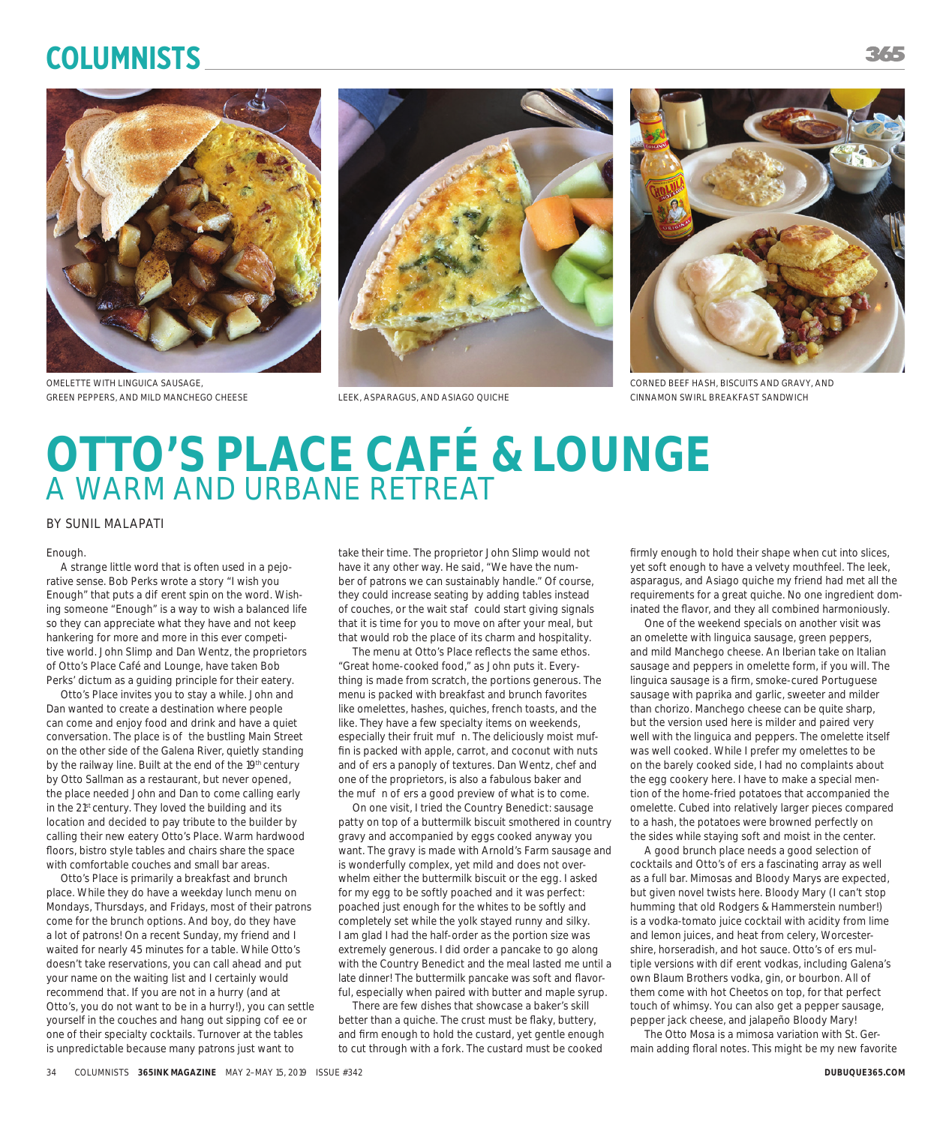# **Columnists**





OMELETTE WITH LINGUICA SAUSAGE, GREEN PEPPERS, AND MILD MANCHEGO CHEESE





CORNED BEEF HASH, BISCUITS AND GRAVY, AND LEEK, ASPARAGUS, AND ASIAGO QUICHE CINNAMON SWIRL BREAKFAST SANDWICH

# **OTTO'S PLACE CAFÉ & LOUNGE** A WARM AND URBANE RETREAT

## BY SUNIL MALAPATI

#### Enough.

A strange little word that is often used in a pejorative sense. Bob Perks wrote a story "I wish you Enough" that puts a dierent spin on the word. Wishing someone "Enough" is a way to wish a balanced life so they can appreciate what they have and not keep hankering for more and more in this ever competitive world. John Slimp and Dan Wentz, the proprietors of Otto's Place Café and Lounge, have taken Bob Perks' dictum as a guiding principle for their eatery.

Otto's Place invites you to stay a while. John and Dan wanted to create a destination where people can come and enjoy food and drink and have a quiet conversation. The place is o the bustling Main Street on the other side of the Galena River, quietly standing by the railway line. Built at the end of the 19<sup>th</sup> century by Otto Sallman as a restaurant, but never opened, the place needed John and Dan to come calling early in the 21<sup>st</sup> century. They loved the building and its location and decided to pay tribute to the builder by calling their new eatery Otto's Place. Warm hardwood floors, bistro style tables and chairs share the space with comfortable couches and small bar areas.

Otto's Place is primarily a breakfast and brunch place. While they do have a weekday lunch menu on Mondays, Thursdays, and Fridays, most of their patrons come for the brunch options. And boy, do they have a lot of patrons! On a recent Sunday, my friend and I waited for nearly 45 minutes for a table. While Otto's doesn't take reservations, you can call ahead and put your name on the waiting list and I certainly would recommend that. If you are not in a hurry (and at Otto's, you do not want to be in a hurry!), you can settle yourself in the couches and hang out sipping co ee or one of their specialty cocktails. Turnover at the tables is unpredictable because many patrons just want to

take their time. The proprietor John Slimp would not have it any other way. He said, "We have the number of patrons we can sustainably handle." Of course, they could increase seating by adding tables instead of couches, or the wait sta could start giving signals that it is time for you to move on after your meal, but that would rob the place of its charm and hospitality.

The menu at Otto's Place reflects the same ethos. "Great home-cooked food," as John puts it. Everything is made from scratch, the portions generous. The menu is packed with breakfast and brunch favorites like omelettes, hashes, quiches, french toasts, and the like. They have a few specialty items on weekends, especially their fruit mu n. The deliciously moist muffin is packed with apple, carrot, and coconut with nuts and o ers a panoply of textures. Dan Wentz, chef and one of the proprietors, is also a fabulous baker and the mu no ers a good preview of what is to come.

On one visit, I tried the Country Benedict: sausage patty on top of a buttermilk biscuit smothered in country gravy and accompanied by eggs cooked anyway you want. The gravy is made with Arnold's Farm sausage and is wonderfully complex, yet mild and does not overwhelm either the buttermilk biscuit or the egg. I asked for my egg to be softly poached and it was perfect: poached just enough for the whites to be softly and completely set while the yolk stayed runny and silky. I am glad I had the half-order as the portion size was extremely generous. I did order a pancake to go along with the Country Benedict and the meal lasted me until a late dinner! The buttermilk pancake was soft and flavorful, especially when paired with butter and maple syrup.

There are few dishes that showcase a baker's skill better than a quiche. The crust must be flaky, buttery, and firm enough to hold the custard, yet gentle enough to cut through with a fork. The custard must be cooked

firmly enough to hold their shape when cut into slices, yet soft enough to have a velvety mouthfeel. The leek, asparagus, and Asiago quiche my friend had met all the requirements for a great quiche. No one ingredient dominated the flavor, and they all combined harmoniously.

One of the weekend specials on another visit was an omelette with linguica sausage, green peppers, and mild Manchego cheese. An Iberian take on Italian sausage and peppers in omelette form, if you will. The linguica sausage is a firm, smoke-cured Portuguese sausage with paprika and garlic, sweeter and milder than chorizo. Manchego cheese can be quite sharp, but the version used here is milder and paired very well with the linguica and peppers. The omelette itself was well cooked. While I prefer my omelettes to be on the barely cooked side, I had no complaints about the egg cookery here. I have to make a special mention of the home-fried potatoes that accompanied the omelette. Cubed into relatively larger pieces compared to a hash, the potatoes were browned perfectly on the sides while staying soft and moist in the center.

A good brunch place needs a good selection of cocktails and Otto's o ers a fascinating array as well as a full bar. Mimosas and Bloody Marys are expected, but given novel twists here. Bloody Mary (I can't stop humming that old Rodgers & Hammerstein number!) is a vodka-tomato juice cocktail with acidity from lime and lemon juices, and heat from celery, Worcestershire, horseradish, and hot sauce. Otto's o ers multiple versions with dierent vodkas, including Galena's own Blaum Brothers vodka, gin, or bourbon. All of them come with hot Cheetos on top, for that perfect touch of whimsy. You can also get a pepper sausage, pepper jack cheese, and jalapeño Bloody Mary!

The Otto Mosa is a mimosa variation with St. Germain adding floral notes. This might be my new favorite